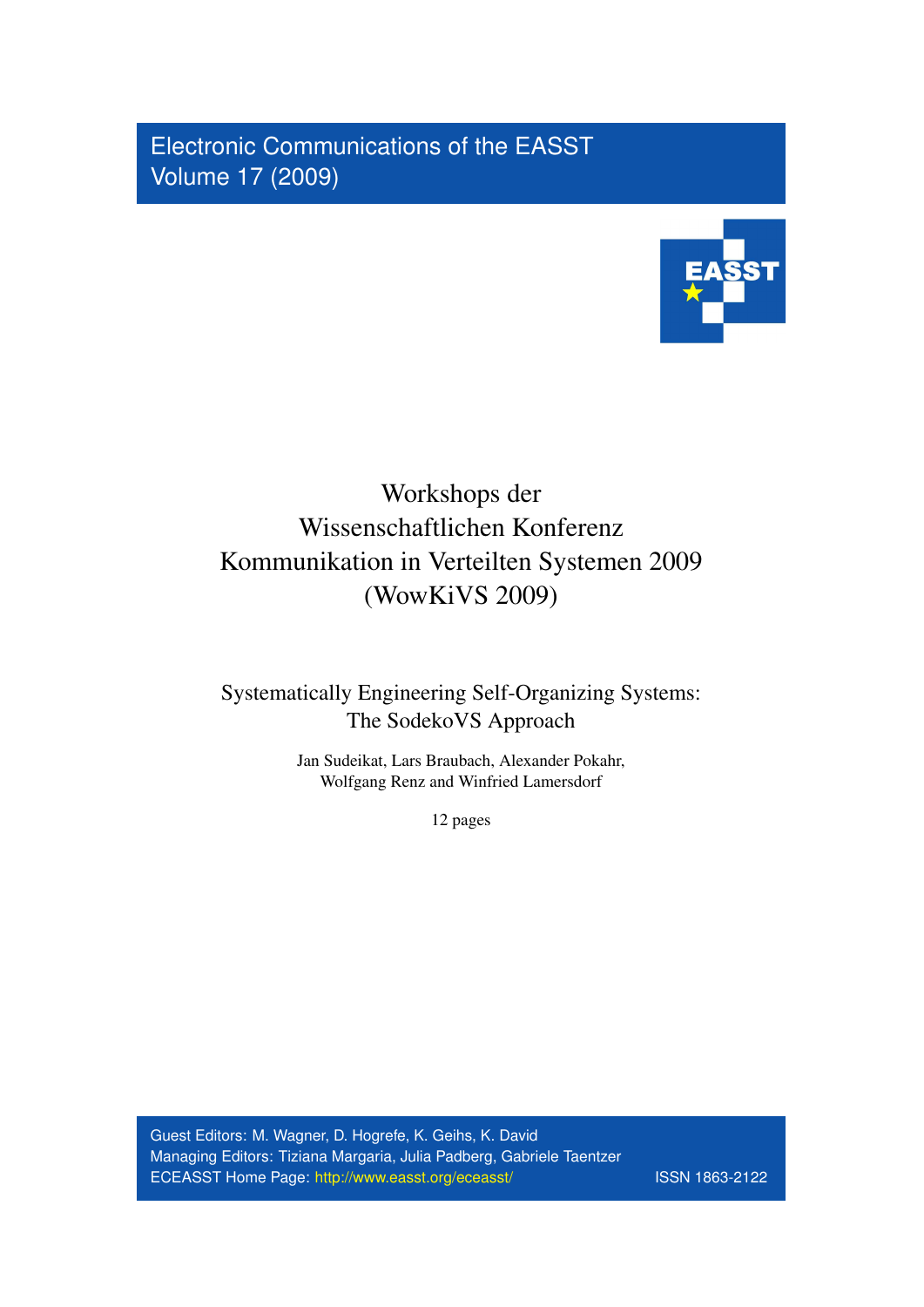Electronic Communications of the EASST Volume 17 (2009)



# Workshops der Wissenschaftlichen Konferenz Kommunikation in Verteilten Systemen 2009 (WowKiVS 2009)

## Systematically Engineering Self-Organizing Systems: The SodekoVS Approach

Jan Sudeikat, Lars Braubach, Alexander Pokahr, Wolfgang Renz and Winfried Lamersdorf

12 pages

Guest Editors: M. Wagner, D. Hogrefe, K. Geihs, K. David Managing Editors: Tiziana Margaria, Julia Padberg, Gabriele Taentzer ECEASST Home Page: <http://www.easst.org/eceasst/> ISSN 1863-2122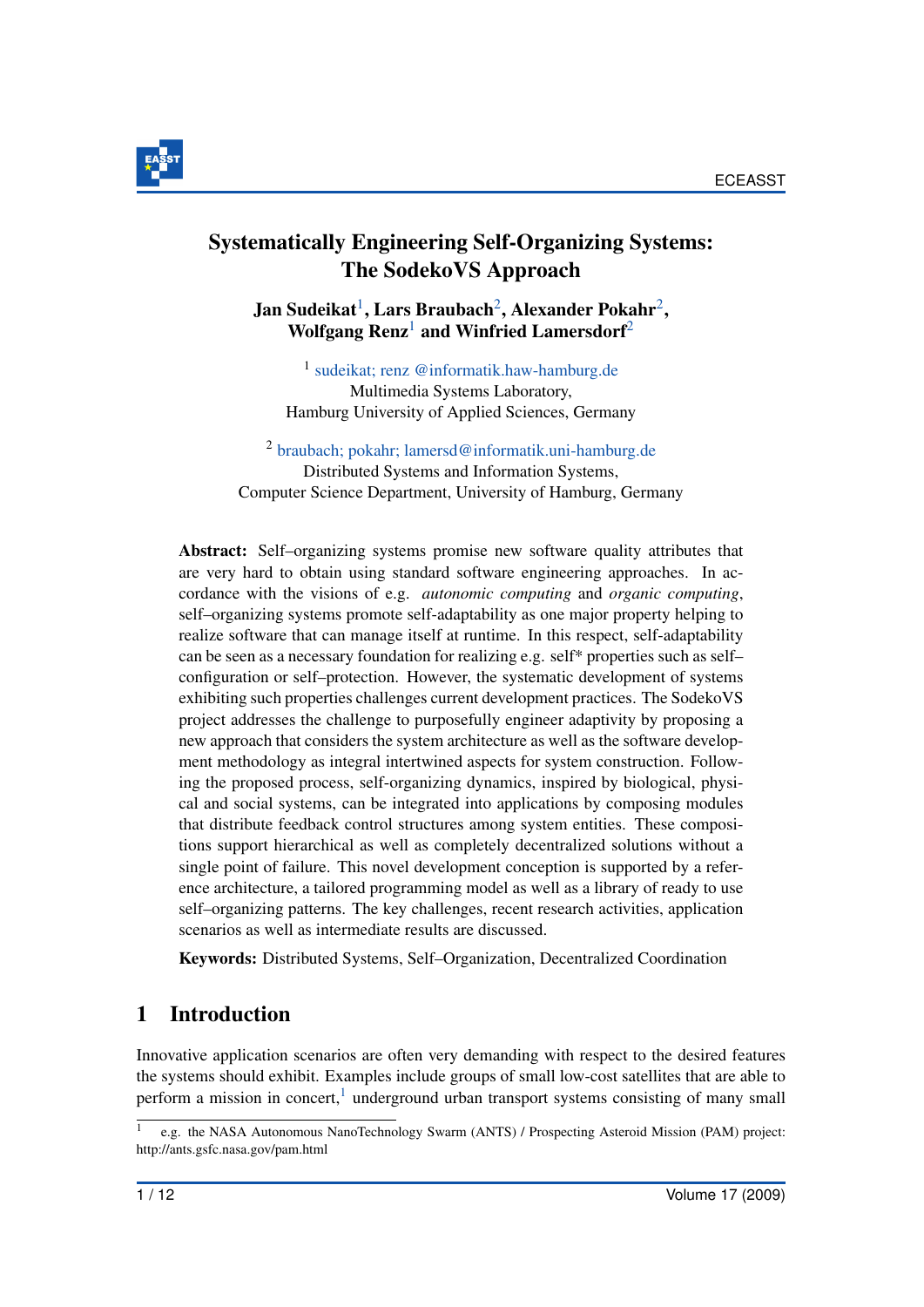

## Systematically Engineering Self-Organizing Systems: The SodekoVS Approach

<span id="page-1-0"></span>Jan Sudeikat $^1$  $^1$ , Lars Braubach $^2$  $^2$ , Alexander Pokahr $^2$ , Wolfgang  $\text{Renz}^1$  $\text{Renz}^1$  and Winfried Lamersdorf<sup>[2](#page-1-1)</sup>

1 [sudeikat; renz @informatik.haw-hamburg.de](mailto:sudeikat; renz @informatik.haw-hamburg.de) Multimedia Systems Laboratory, Hamburg University of Applied Sciences, Germany

<span id="page-1-1"></span><sup>2</sup> [braubach; pokahr; lamersd@informatik.uni-hamburg.de](mailto:braubach; pokahr; lamersd@informatik.uni-hamburg.de) Distributed Systems and Information Systems, Computer Science Department, University of Hamburg, Germany

Abstract: Self–organizing systems promise new software quality attributes that are very hard to obtain using standard software engineering approaches. In accordance with the visions of e.g. *autonomic computing* and *organic computing*, self–organizing systems promote self-adaptability as one major property helping to realize software that can manage itself at runtime. In this respect, self-adaptability can be seen as a necessary foundation for realizing e.g. self\* properties such as self– configuration or self–protection. However, the systematic development of systems exhibiting such properties challenges current development practices. The SodekoVS project addresses the challenge to purposefully engineer adaptivity by proposing a new approach that considers the system architecture as well as the software development methodology as integral intertwined aspects for system construction. Following the proposed process, self-organizing dynamics, inspired by biological, physical and social systems, can be integrated into applications by composing modules that distribute feedback control structures among system entities. These compositions support hierarchical as well as completely decentralized solutions without a single point of failure. This novel development conception is supported by a reference architecture, a tailored programming model as well as a library of ready to use self–organizing patterns. The key challenges, recent research activities, application scenarios as well as intermediate results are discussed.

Keywords: Distributed Systems, Self–Organization, Decentralized Coordination

## 1 Introduction

Innovative application scenarios are often very demanding with respect to the desired features the systems should exhibit. Examples include groups of small low-cost satellites that are able to perform a mission in concert,<sup>[1](#page-1-2)</sup> underground urban transport systems consisting of many small

<span id="page-1-2"></span><sup>1</sup> e.g. the NASA Autonomous NanoTechnology Swarm (ANTS) / Prospecting Asteroid Mission (PAM) project: http://ants.gsfc.nasa.gov/pam.html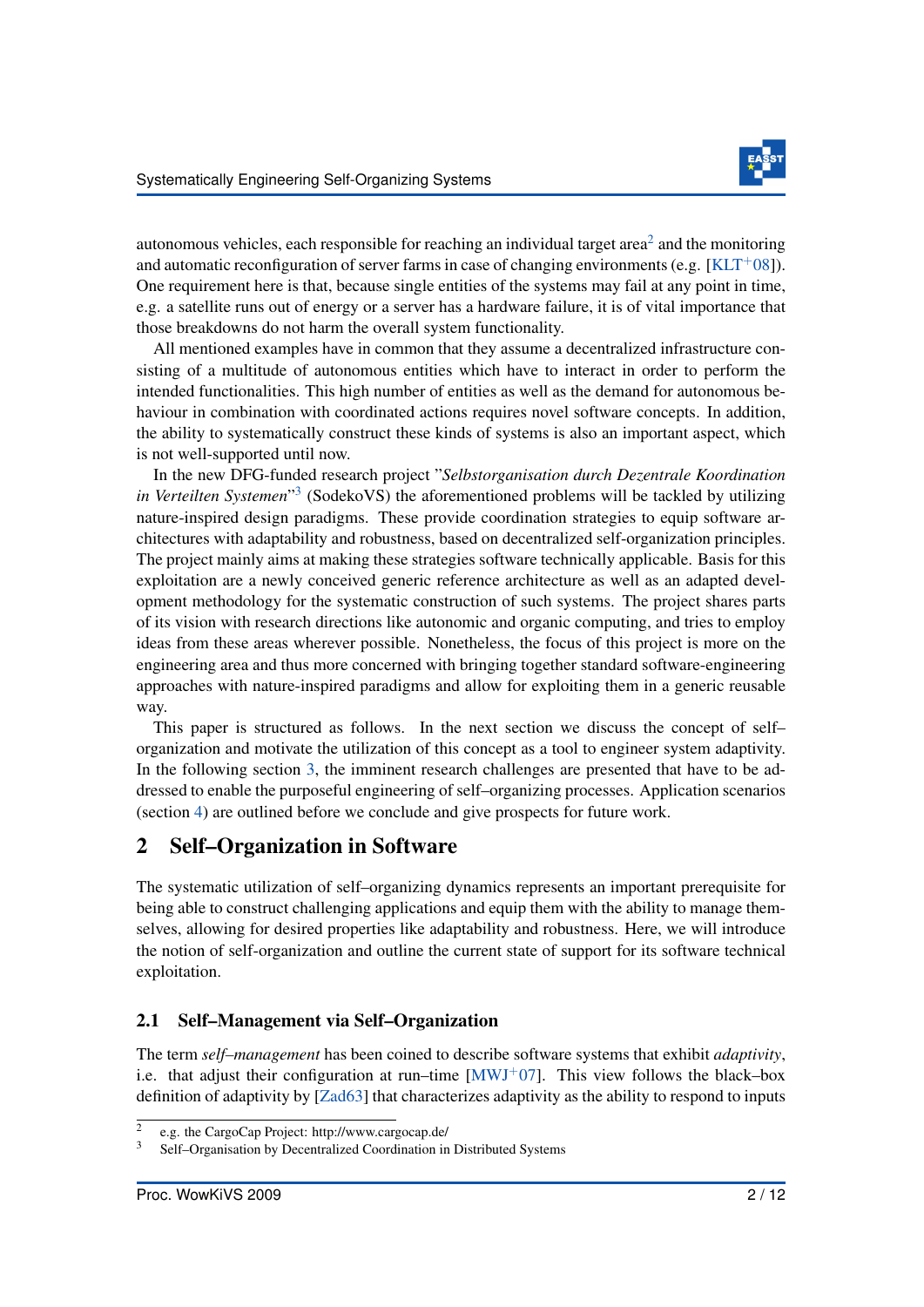

autonomous vehicles, each responsible for reaching an individual target area<sup>[2](#page-2-0)</sup> and the monitoring and automatic reconfiguration of server farms in case of changing environments (e.g. [\[KLT](#page-11-0)+08]). One requirement here is that, because single entities of the systems may fail at any point in time, e.g. a satellite runs out of energy or a server has a hardware failure, it is of vital importance that those breakdowns do not harm the overall system functionality.

All mentioned examples have in common that they assume a decentralized infrastructure consisting of a multitude of autonomous entities which have to interact in order to perform the intended functionalities. This high number of entities as well as the demand for autonomous behaviour in combination with coordinated actions requires novel software concepts. In addition, the ability to systematically construct these kinds of systems is also an important aspect, which is not well-supported until now.

In the new DFG-funded research project "*Selbstorganisation durch Dezentrale Koordination in Verteilten Systemen*" [3](#page-2-1) (SodekoVS) the aforementioned problems will be tackled by utilizing nature-inspired design paradigms. These provide coordination strategies to equip software architectures with adaptability and robustness, based on decentralized self-organization principles. The project mainly aims at making these strategies software technically applicable. Basis for this exploitation are a newly conceived generic reference architecture as well as an adapted development methodology for the systematic construction of such systems. The project shares parts of its vision with research directions like autonomic and organic computing, and tries to employ ideas from these areas wherever possible. Nonetheless, the focus of this project is more on the engineering area and thus more concerned with bringing together standard software-engineering approaches with nature-inspired paradigms and allow for exploiting them in a generic reusable way.

This paper is structured as follows. In the next section we discuss the concept of self– organization and motivate the utilization of this concept as a tool to engineer system adaptivity. In the following section [3,](#page-4-0) the imminent research challenges are presented that have to be addressed to enable the purposeful engineering of self–organizing processes. Application scenarios (section [4\)](#page-9-0) are outlined before we conclude and give prospects for future work.

## <span id="page-2-2"></span>2 Self–Organization in Software

The systematic utilization of self–organizing dynamics represents an important prerequisite for being able to construct challenging applications and equip them with the ability to manage themselves, allowing for desired properties like adaptability and robustness. Here, we will introduce the notion of self-organization and outline the current state of support for its software technical exploitation.

#### 2.1 Self–Management via Self–Organization

The term *self–management* has been coined to describe software systems that exhibit *adaptivity*, i.e. that adjust their configuration at run–time  $[MWJ^+07]$  $[MWJ^+07]$ . This view follows the black–box definition of adaptivity by [\[Zad63\]](#page-12-0) that characterizes adaptivity as the ability to respond to inputs

<span id="page-2-0"></span><sup>2</sup> e.g. the CargoCap Project: http://www.cargocap.de/

<span id="page-2-1"></span><sup>3</sup> Self–Organisation by Decentralized Coordination in Distributed Systems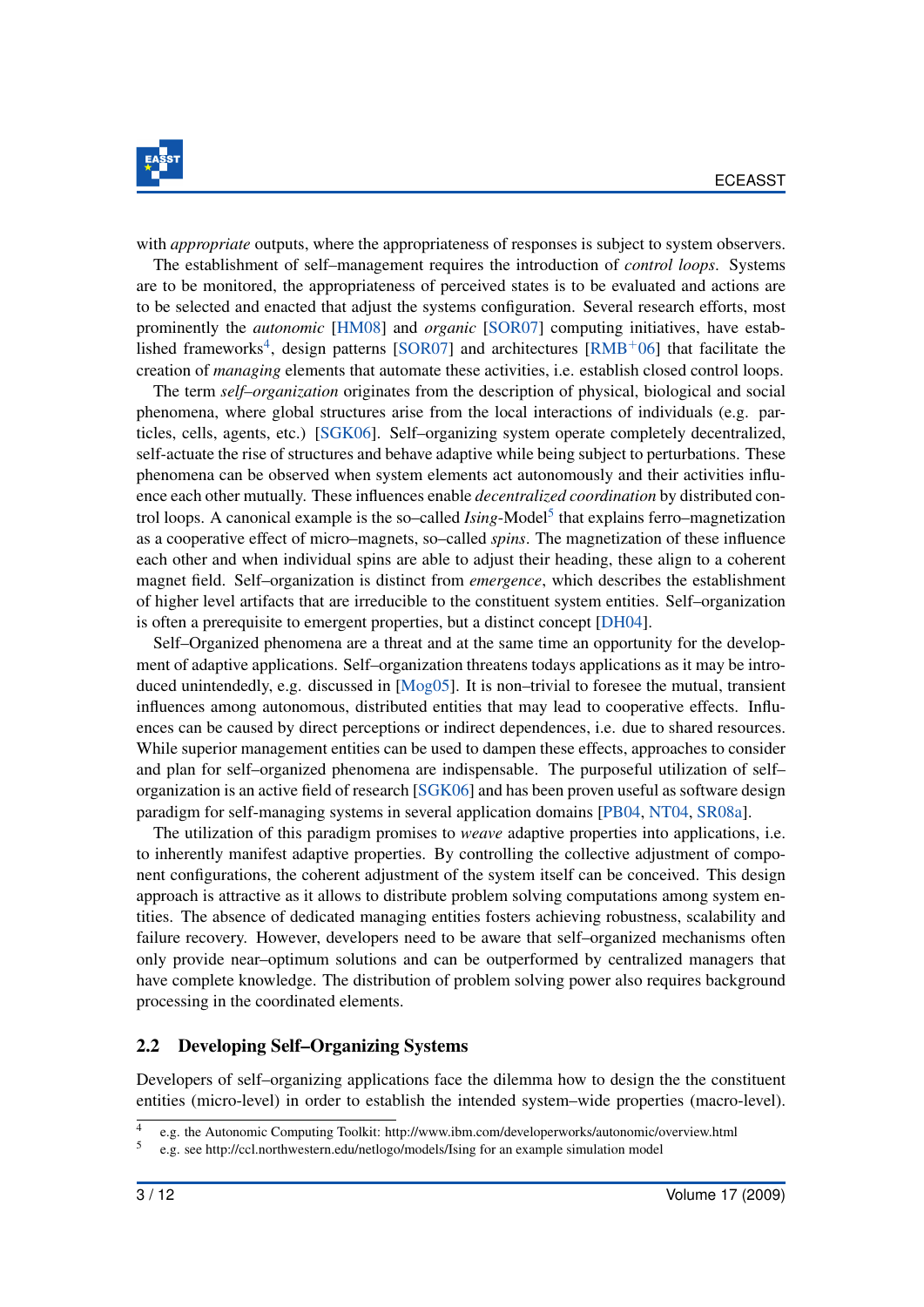

with *appropriate* outputs, where the appropriateness of responses is subject to system observers.

The establishment of self–management requires the introduction of *control loops*. Systems are to be monitored, the appropriateness of perceived states is to be evaluated and actions are to be selected and enacted that adjust the systems configuration. Several research efforts, most prominently the *autonomic* [\[HM08\]](#page-11-2) and *organic* [\[SOR07\]](#page-12-1) computing initiatives, have estab-lished frameworks<sup>[4](#page-3-0)</sup>, design patterns [\[SOR07\]](#page-12-1) and architectures [\[RMB](#page-11-3)<sup>+</sup>06] that facilitate the creation of *managing* elements that automate these activities, i.e. establish closed control loops.

The term *self–organization* originates from the description of physical, biological and social phenomena, where global structures arise from the local interactions of individuals (e.g. particles, cells, agents, etc.) [\[SGK06\]](#page-12-2). Self–organizing system operate completely decentralized, self-actuate the rise of structures and behave adaptive while being subject to perturbations. These phenomena can be observed when system elements act autonomously and their activities influence each other mutually. These influences enable *decentralized coordination* by distributed control loops. A canonical example is the so–called *Ising*-Model<sup>[5](#page-3-1)</sup> that explains ferro–magnetization as a cooperative effect of micro–magnets, so–called *spins*. The magnetization of these influence each other and when individual spins are able to adjust their heading, these align to a coherent magnet field. Self–organization is distinct from *emergence*, which describes the establishment of higher level artifacts that are irreducible to the constituent system entities. Self–organization is often a prerequisite to emergent properties, but a distinct concept [\[DH04\]](#page-11-4).

Self–Organized phenomena are a threat and at the same time an opportunity for the development of adaptive applications. Self–organization threatens todays applications as it may be introduced unintendedly, e.g. discussed in [\[Mog05\]](#page-11-5). It is non–trivial to foresee the mutual, transient influences among autonomous, distributed entities that may lead to cooperative effects. Influences can be caused by direct perceptions or indirect dependences, i.e. due to shared resources. While superior management entities can be used to dampen these effects, approaches to consider and plan for self–organized phenomena are indispensable. The purposeful utilization of self– organization is an active field of research [\[SGK06\]](#page-12-2) and has been proven useful as software design paradigm for self-managing systems in several application domains [\[PB04,](#page-11-6) [NT04,](#page-11-7) [SR08a\]](#page-12-3).

The utilization of this paradigm promises to *weave* adaptive properties into applications, i.e. to inherently manifest adaptive properties. By controlling the collective adjustment of component configurations, the coherent adjustment of the system itself can be conceived. This design approach is attractive as it allows to distribute problem solving computations among system entities. The absence of dedicated managing entities fosters achieving robustness, scalability and failure recovery. However, developers need to be aware that self–organized mechanisms often only provide near–optimum solutions and can be outperformed by centralized managers that have complete knowledge. The distribution of problem solving power also requires background processing in the coordinated elements.

#### <span id="page-3-2"></span>2.2 Developing Self–Organizing Systems

Developers of self–organizing applications face the dilemma how to design the the constituent entities (micro-level) in order to establish the intended system–wide properties (macro-level).

<span id="page-3-0"></span><sup>4</sup> e.g. the Autonomic Computing Toolkit: http://www.ibm.com/developerworks/autonomic/overview.html

<span id="page-3-1"></span><sup>5</sup> e.g. see http://ccl.northwestern.edu/netlogo/models/Ising for an example simulation model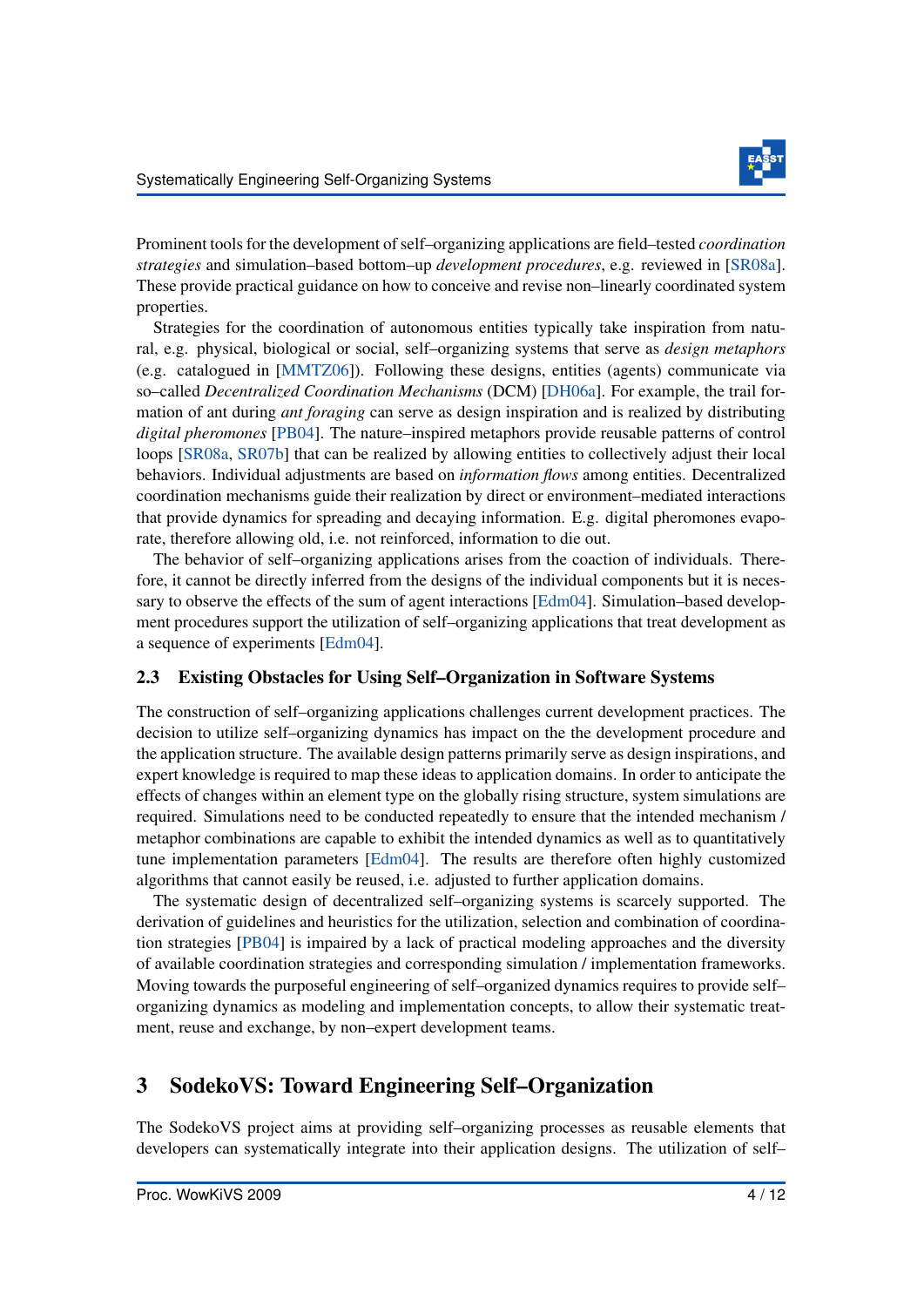Prominent tools for the development of self–organizing applications are field–tested *coordination strategies* and simulation–based bottom–up *development procedures*, e.g. reviewed in [\[SR08a\]](#page-12-3). These provide practical guidance on how to conceive and revise non–linearly coordinated system properties.

Strategies for the coordination of autonomous entities typically take inspiration from natural, e.g. physical, biological or social, self–organizing systems that serve as *design metaphors* (e.g. catalogued in [\[MMTZ06\]](#page-11-8)). Following these designs, entities (agents) communicate via so–called *Decentralized Coordination Mechanisms* (DCM) [\[DH06a\]](#page-11-9). For example, the trail formation of ant during *ant foraging* can serve as design inspiration and is realized by distributing *digital pheromones* [\[PB04\]](#page-11-6). The nature–inspired metaphors provide reusable patterns of control loops [\[SR08a,](#page-12-3) [SR07b\]](#page-12-4) that can be realized by allowing entities to collectively adjust their local behaviors. Individual adjustments are based on *information flows* among entities. Decentralized coordination mechanisms guide their realization by direct or environment–mediated interactions that provide dynamics for spreading and decaying information. E.g. digital pheromones evaporate, therefore allowing old, i.e. not reinforced, information to die out.

The behavior of self–organizing applications arises from the coaction of individuals. Therefore, it cannot be directly inferred from the designs of the individual components but it is necessary to observe the effects of the sum of agent interactions [\[Edm04\]](#page-11-10). Simulation–based development procedures support the utilization of self–organizing applications that treat development as a sequence of experiments [\[Edm04\]](#page-11-10).

#### 2.3 Existing Obstacles for Using Self–Organization in Software Systems

The construction of self–organizing applications challenges current development practices. The decision to utilize self–organizing dynamics has impact on the the development procedure and the application structure. The available design patterns primarily serve as design inspirations, and expert knowledge is required to map these ideas to application domains. In order to anticipate the effects of changes within an element type on the globally rising structure, system simulations are required. Simulations need to be conducted repeatedly to ensure that the intended mechanism / metaphor combinations are capable to exhibit the intended dynamics as well as to quantitatively tune implementation parameters [\[Edm04\]](#page-11-10). The results are therefore often highly customized algorithms that cannot easily be reused, i.e. adjusted to further application domains.

The systematic design of decentralized self–organizing systems is scarcely supported. The derivation of guidelines and heuristics for the utilization, selection and combination of coordination strategies [\[PB04\]](#page-11-6) is impaired by a lack of practical modeling approaches and the diversity of available coordination strategies and corresponding simulation / implementation frameworks. Moving towards the purposeful engineering of self–organized dynamics requires to provide self– organizing dynamics as modeling and implementation concepts, to allow their systematic treatment, reuse and exchange, by non–expert development teams.

## <span id="page-4-0"></span>3 SodekoVS: Toward Engineering Self–Organization

The SodekoVS project aims at providing self–organizing processes as reusable elements that developers can systematically integrate into their application designs. The utilization of self–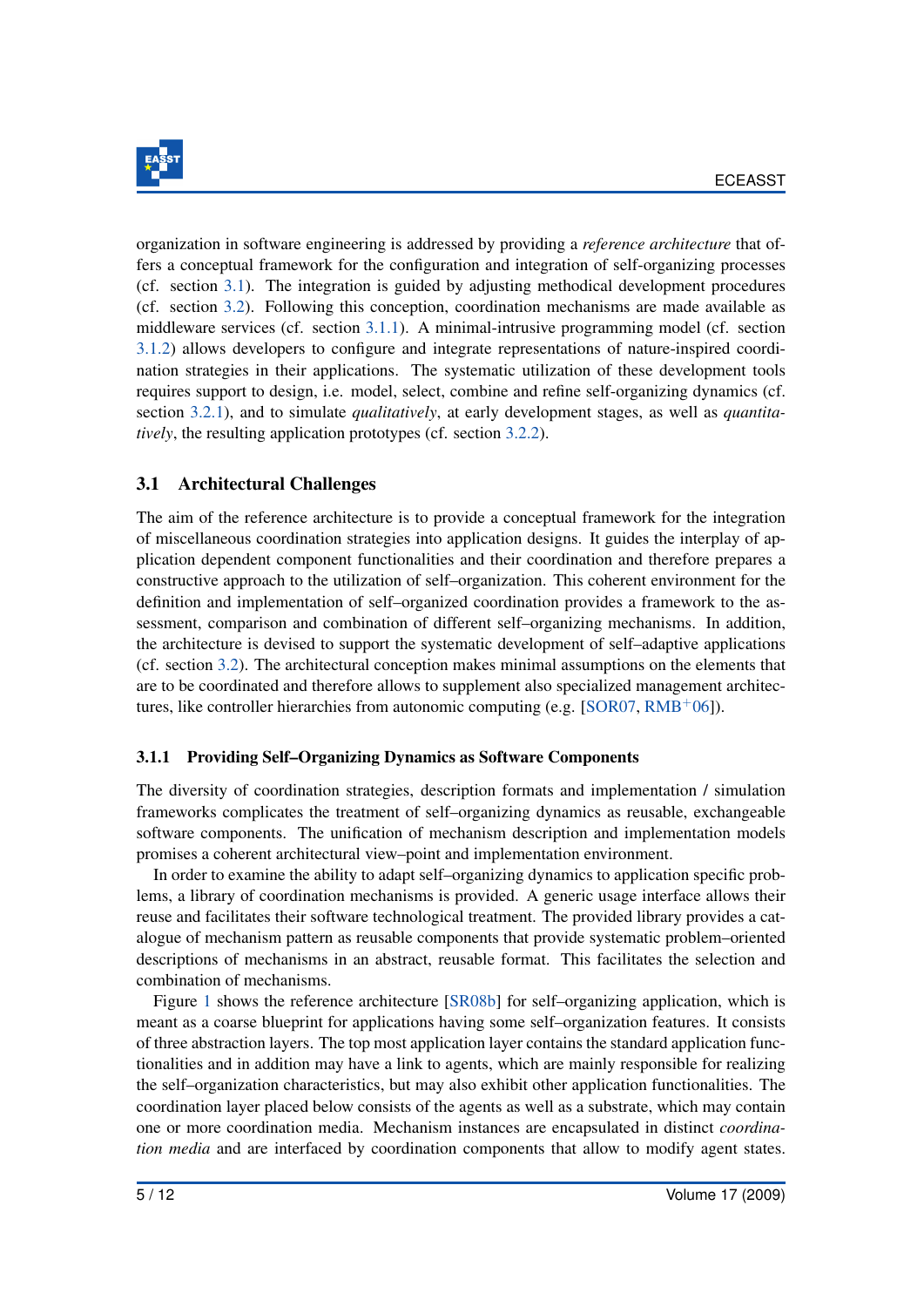

organization in software engineering is addressed by providing a *reference architecture* that offers a conceptual framework for the configuration and integration of self-organizing processes (cf. section [3.1\)](#page-5-0). The integration is guided by adjusting methodical development procedures (cf. section [3.2\)](#page-7-0). Following this conception, coordination mechanisms are made available as middleware services (cf. section [3.1.1\)](#page-5-1). A minimal-intrusive programming model (cf. section [3.1.2\)](#page-6-0) allows developers to configure and integrate representations of nature-inspired coordination strategies in their applications. The systematic utilization of these development tools requires support to design, i.e. model, select, combine and refine self-organizing dynamics (cf. section [3.2.1\)](#page-7-1), and to simulate *qualitatively*, at early development stages, as well as *quantitatively*, the resulting application prototypes (cf. section [3.2.2\)](#page-8-0).

### <span id="page-5-0"></span>3.1 Architectural Challenges

The aim of the reference architecture is to provide a conceptual framework for the integration of miscellaneous coordination strategies into application designs. It guides the interplay of application dependent component functionalities and their coordination and therefore prepares a constructive approach to the utilization of self–organization. This coherent environment for the definition and implementation of self–organized coordination provides a framework to the assessment, comparison and combination of different self–organizing mechanisms. In addition, the architecture is devised to support the systematic development of self–adaptive applications (cf. section [3.2\)](#page-7-0). The architectural conception makes minimal assumptions on the elements that are to be coordinated and therefore allows to supplement also specialized management architec-tures, like controller hierarchies from autonomic computing (e.g. [\[SOR07,](#page-12-1)  $RMB<sup>+</sup>06$  $RMB<sup>+</sup>06$ ]).

#### <span id="page-5-1"></span>3.1.1 Providing Self–Organizing Dynamics as Software Components

The diversity of coordination strategies, description formats and implementation / simulation frameworks complicates the treatment of self–organizing dynamics as reusable, exchangeable software components. The unification of mechanism description and implementation models promises a coherent architectural view–point and implementation environment.

In order to examine the ability to adapt self–organizing dynamics to application specific problems, a library of coordination mechanisms is provided. A generic usage interface allows their reuse and facilitates their software technological treatment. The provided library provides a catalogue of mechanism pattern as reusable components that provide systematic problem–oriented descriptions of mechanisms in an abstract, reusable format. This facilitates the selection and combination of mechanisms.

Figure [1](#page-6-1) shows the reference architecture [\[SR08b\]](#page-12-5) for self–organizing application, which is meant as a coarse blueprint for applications having some self–organization features. It consists of three abstraction layers. The top most application layer contains the standard application functionalities and in addition may have a link to agents, which are mainly responsible for realizing the self–organization characteristics, but may also exhibit other application functionalities. The coordination layer placed below consists of the agents as well as a substrate, which may contain one or more coordination media. Mechanism instances are encapsulated in distinct *coordination media* and are interfaced by coordination components that allow to modify agent states.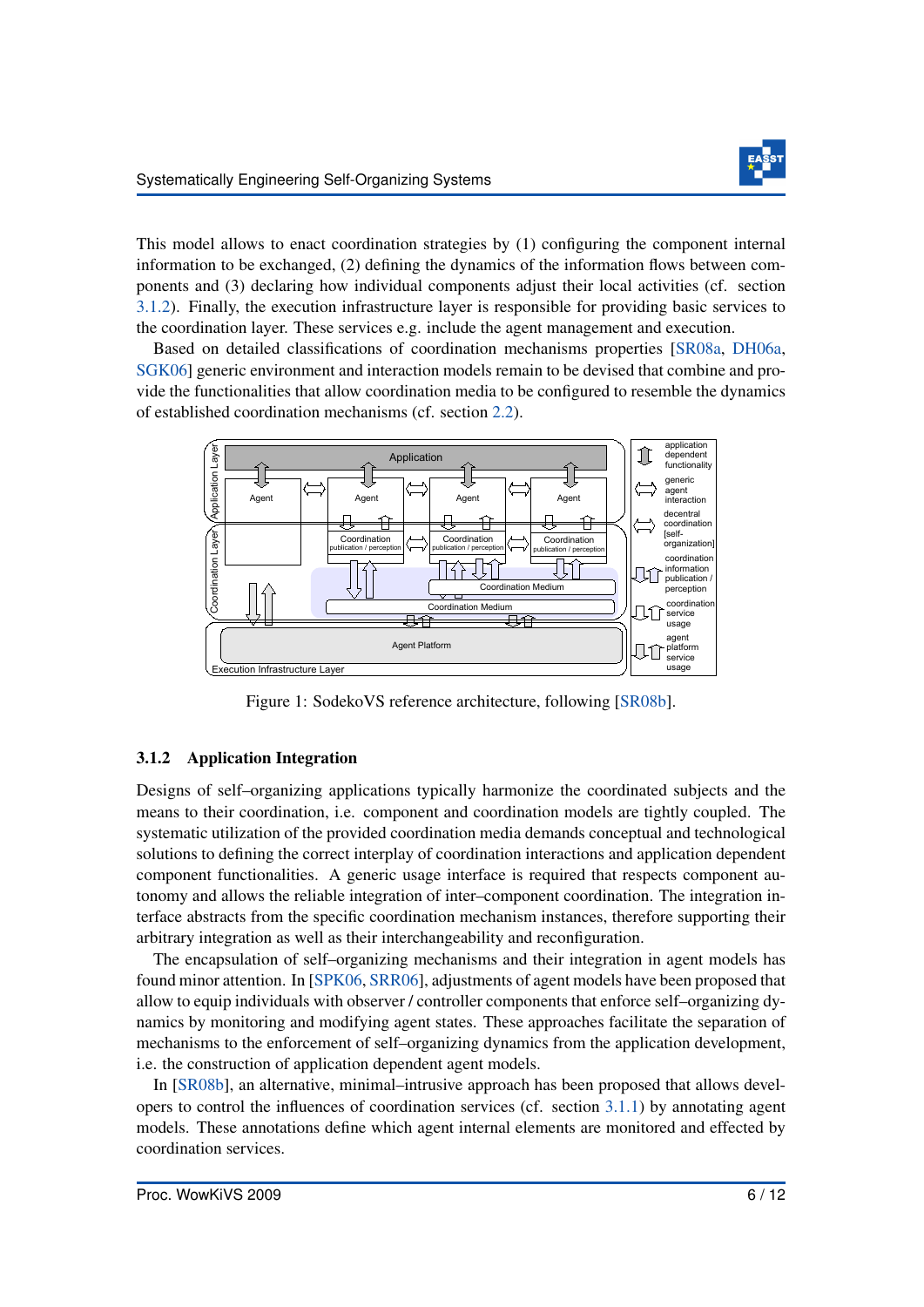

This model allows to enact coordination strategies by (1) configuring the component internal information to be exchanged, (2) defining the dynamics of the information flows between components and (3) declaring how individual components adjust their local activities (cf. section [3.1.2\)](#page-6-0). Finally, the execution infrastructure layer is responsible for providing basic services to the coordination layer. These services e.g. include the agent management and execution.

Based on detailed classifications of coordination mechanisms properties [\[SR08a,](#page-12-3) [DH06a,](#page-11-9) [SGK06\]](#page-12-2) generic environment and interaction models remain to be devised that combine and provide the functionalities that allow coordination media to be configured to resemble the dynamics of established coordination mechanisms (cf. section [2.2\)](#page-3-2).

<span id="page-6-1"></span>

Figure 1: SodekoVS reference architecture, following [\[SR08b\]](#page-12-5).

#### <span id="page-6-0"></span>3.1.2 Application Integration

Designs of self–organizing applications typically harmonize the coordinated subjects and the means to their coordination, i.e. component and coordination models are tightly coupled. The systematic utilization of the provided coordination media demands conceptual and technological solutions to defining the correct interplay of coordination interactions and application dependent component functionalities. A generic usage interface is required that respects component autonomy and allows the reliable integration of inter–component coordination. The integration interface abstracts from the specific coordination mechanism instances, therefore supporting their arbitrary integration as well as their interchangeability and reconfiguration.

The encapsulation of self–organizing mechanisms and their integration in agent models has found minor attention. In [\[SPK06,](#page-12-6) [SRR06\]](#page-12-7), adjustments of agent models have been proposed that allow to equip individuals with observer / controller components that enforce self–organizing dynamics by monitoring and modifying agent states. These approaches facilitate the separation of mechanisms to the enforcement of self–organizing dynamics from the application development, i.e. the construction of application dependent agent models.

In [\[SR08b\]](#page-12-5), an alternative, minimal–intrusive approach has been proposed that allows developers to control the influences of coordination services (cf. section [3.1.1\)](#page-5-1) by annotating agent models. These annotations define which agent internal elements are monitored and effected by coordination services.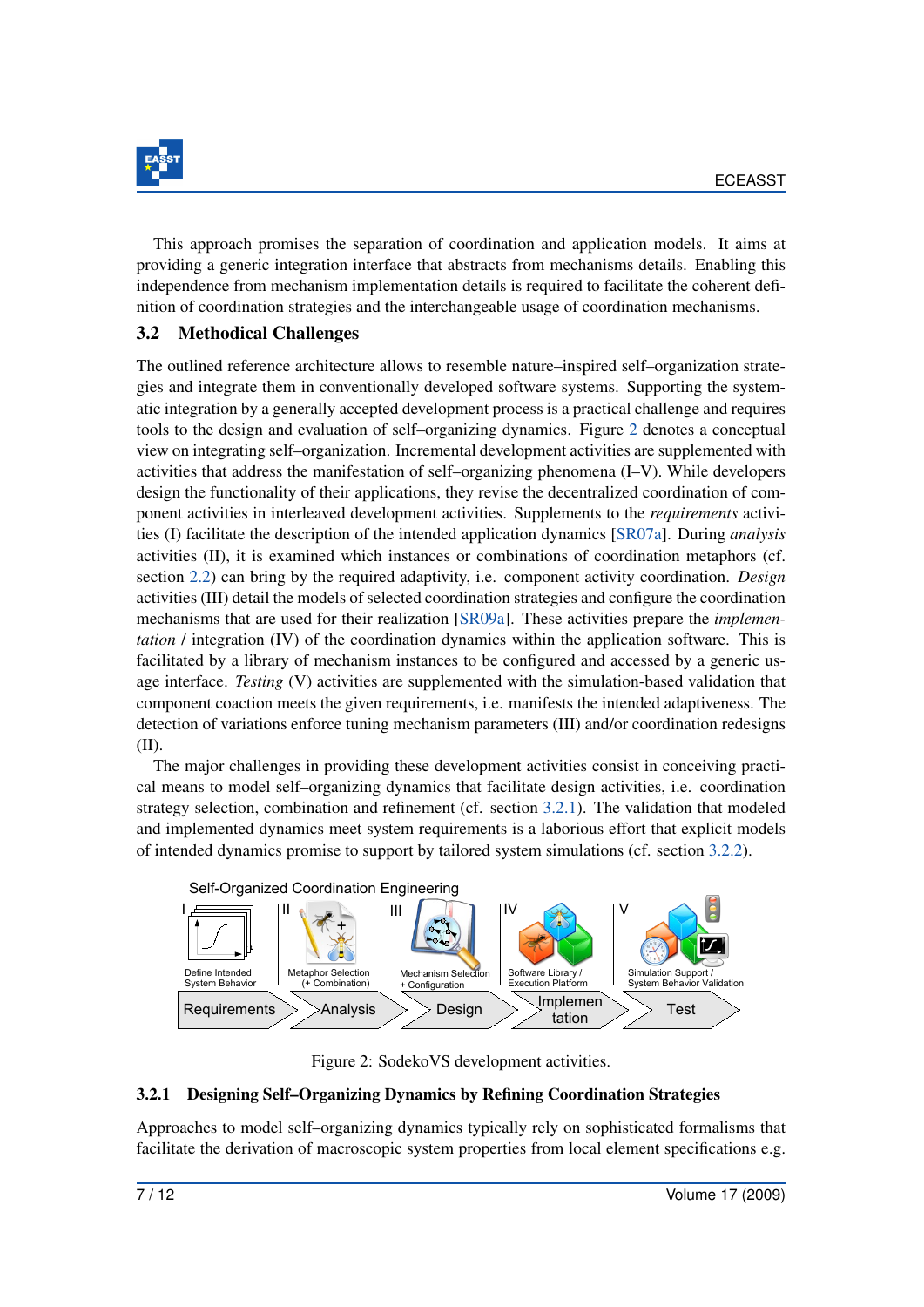

This approach promises the separation of coordination and application models. It aims at providing a generic integration interface that abstracts from mechanisms details. Enabling this independence from mechanism implementation details is required to facilitate the coherent definition of coordination strategies and the interchangeable usage of coordination mechanisms.

### <span id="page-7-0"></span>3.2 Methodical Challenges

The outlined reference architecture allows to resemble nature–inspired self–organization strategies and integrate them in conventionally developed software systems. Supporting the systematic integration by a generally accepted development process is a practical challenge and requires tools to the design and evaluation of self–organizing dynamics. Figure [2](#page-7-2) denotes a conceptual view on integrating self–organization. Incremental development activities are supplemented with activities that address the manifestation of self–organizing phenomena (I–V). While developers design the functionality of their applications, they revise the decentralized coordination of component activities in interleaved development activities. Supplements to the *requirements* activities (I) facilitate the description of the intended application dynamics [\[SR07a\]](#page-12-8). During *analysis* activities (II), it is examined which instances or combinations of coordination metaphors (cf. section [2.2\)](#page-3-2) can bring by the required adaptivity, i.e. component activity coordination. *Design* activities (III) detail the models of selected coordination strategies and configure the coordination mechanisms that are used for their realization [\[SR09a\]](#page-12-9). These activities prepare the *implementation* / integration (IV) of the coordination dynamics within the application software. This is facilitated by a library of mechanism instances to be configured and accessed by a generic usage interface. *Testing* (V) activities are supplemented with the simulation-based validation that component coaction meets the given requirements, i.e. manifests the intended adaptiveness. The detection of variations enforce tuning mechanism parameters (III) and/or coordination redesigns (II).

The major challenges in providing these development activities consist in conceiving practical means to model self–organizing dynamics that facilitate design activities, i.e. coordination strategy selection, combination and refinement (cf. section [3.2.1\)](#page-7-1). The validation that modeled and implemented dynamics meet system requirements is a laborious effort that explicit models of intended dynamics promise to support by tailored system simulations (cf. section [3.2.2\)](#page-8-0).

<span id="page-7-2"></span>

Figure 2: SodekoVS development activities.

#### <span id="page-7-1"></span>3.2.1 Designing Self–Organizing Dynamics by Refining Coordination Strategies

Approaches to model self–organizing dynamics typically rely on sophisticated formalisms that facilitate the derivation of macroscopic system properties from local element specifications e.g.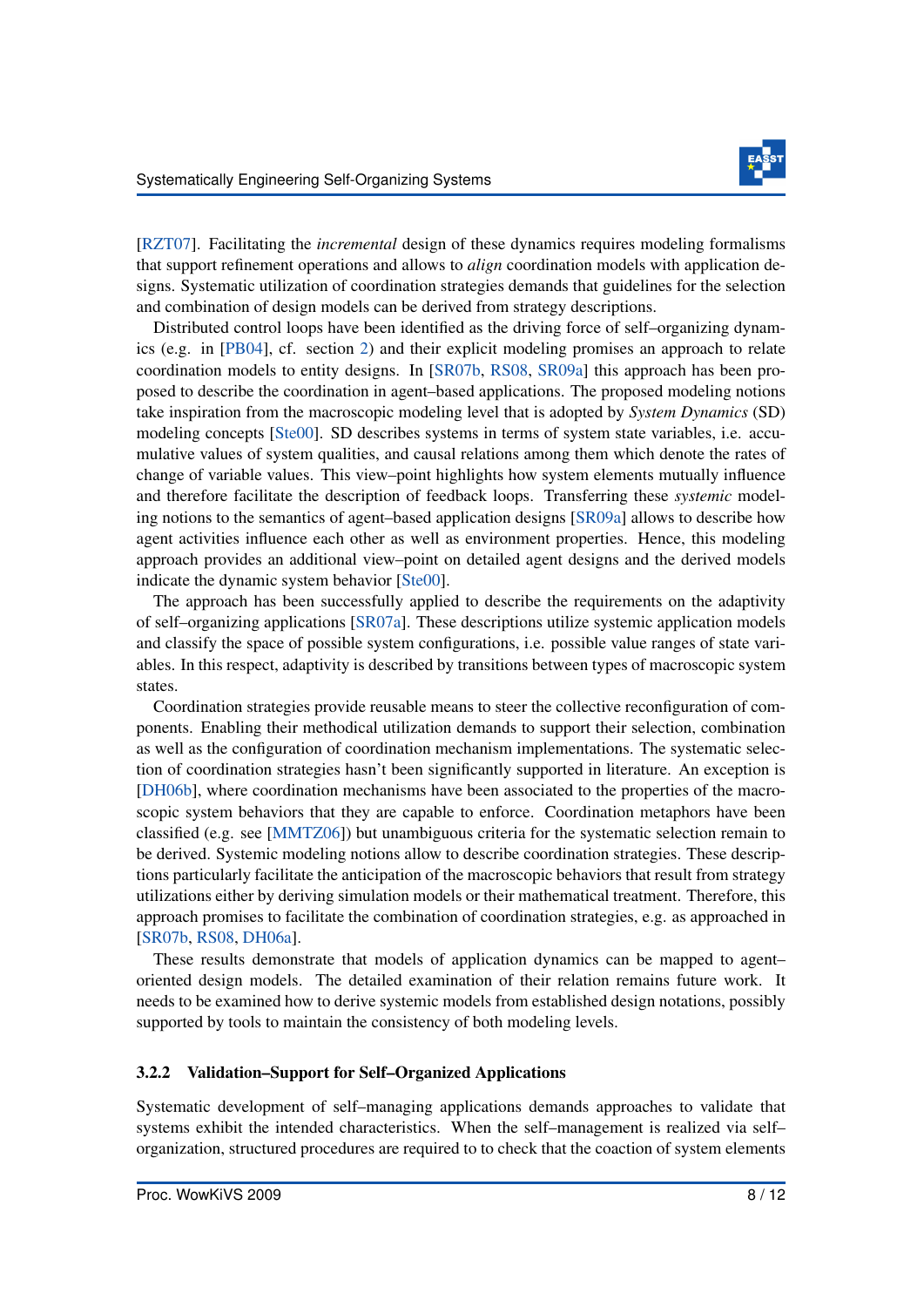

[\[RZT07\]](#page-12-10). Facilitating the *incremental* design of these dynamics requires modeling formalisms that support refinement operations and allows to *align* coordination models with application designs. Systematic utilization of coordination strategies demands that guidelines for the selection and combination of design models can be derived from strategy descriptions.

Distributed control loops have been identified as the driving force of self–organizing dynamics (e.g. in [\[PB04\]](#page-11-6), cf. section [2\)](#page-2-2) and their explicit modeling promises an approach to relate coordination models to entity designs. In [\[SR07b,](#page-12-4) [RS08,](#page-12-11) [SR09a\]](#page-12-9) this approach has been proposed to describe the coordination in agent–based applications. The proposed modeling notions take inspiration from the macroscopic modeling level that is adopted by *System Dynamics* (SD) modeling concepts [\[Ste00\]](#page-12-12). SD describes systems in terms of system state variables, i.e. accumulative values of system qualities, and causal relations among them which denote the rates of change of variable values. This view–point highlights how system elements mutually influence and therefore facilitate the description of feedback loops. Transferring these *systemic* modeling notions to the semantics of agent–based application designs [\[SR09a\]](#page-12-9) allows to describe how agent activities influence each other as well as environment properties. Hence, this modeling approach provides an additional view–point on detailed agent designs and the derived models indicate the dynamic system behavior [\[Ste00\]](#page-12-12).

The approach has been successfully applied to describe the requirements on the adaptivity of self–organizing applications [\[SR07a\]](#page-12-8). These descriptions utilize systemic application models and classify the space of possible system configurations, i.e. possible value ranges of state variables. In this respect, adaptivity is described by transitions between types of macroscopic system states.

Coordination strategies provide reusable means to steer the collective reconfiguration of components. Enabling their methodical utilization demands to support their selection, combination as well as the configuration of coordination mechanism implementations. The systematic selection of coordination strategies hasn't been significantly supported in literature. An exception is [\[DH06b\]](#page-11-11), where coordination mechanisms have been associated to the properties of the macroscopic system behaviors that they are capable to enforce. Coordination metaphors have been classified (e.g. see [\[MMTZ06\]](#page-11-8)) but unambiguous criteria for the systematic selection remain to be derived. Systemic modeling notions allow to describe coordination strategies. These descriptions particularly facilitate the anticipation of the macroscopic behaviors that result from strategy utilizations either by deriving simulation models or their mathematical treatment. Therefore, this approach promises to facilitate the combination of coordination strategies, e.g. as approached in [\[SR07b,](#page-12-4) [RS08,](#page-12-11) [DH06a\]](#page-11-9).

These results demonstrate that models of application dynamics can be mapped to agent– oriented design models. The detailed examination of their relation remains future work. It needs to be examined how to derive systemic models from established design notations, possibly supported by tools to maintain the consistency of both modeling levels.

#### <span id="page-8-0"></span>3.2.2 Validation–Support for Self–Organized Applications

Systematic development of self–managing applications demands approaches to validate that systems exhibit the intended characteristics. When the self–management is realized via self– organization, structured procedures are required to to check that the coaction of system elements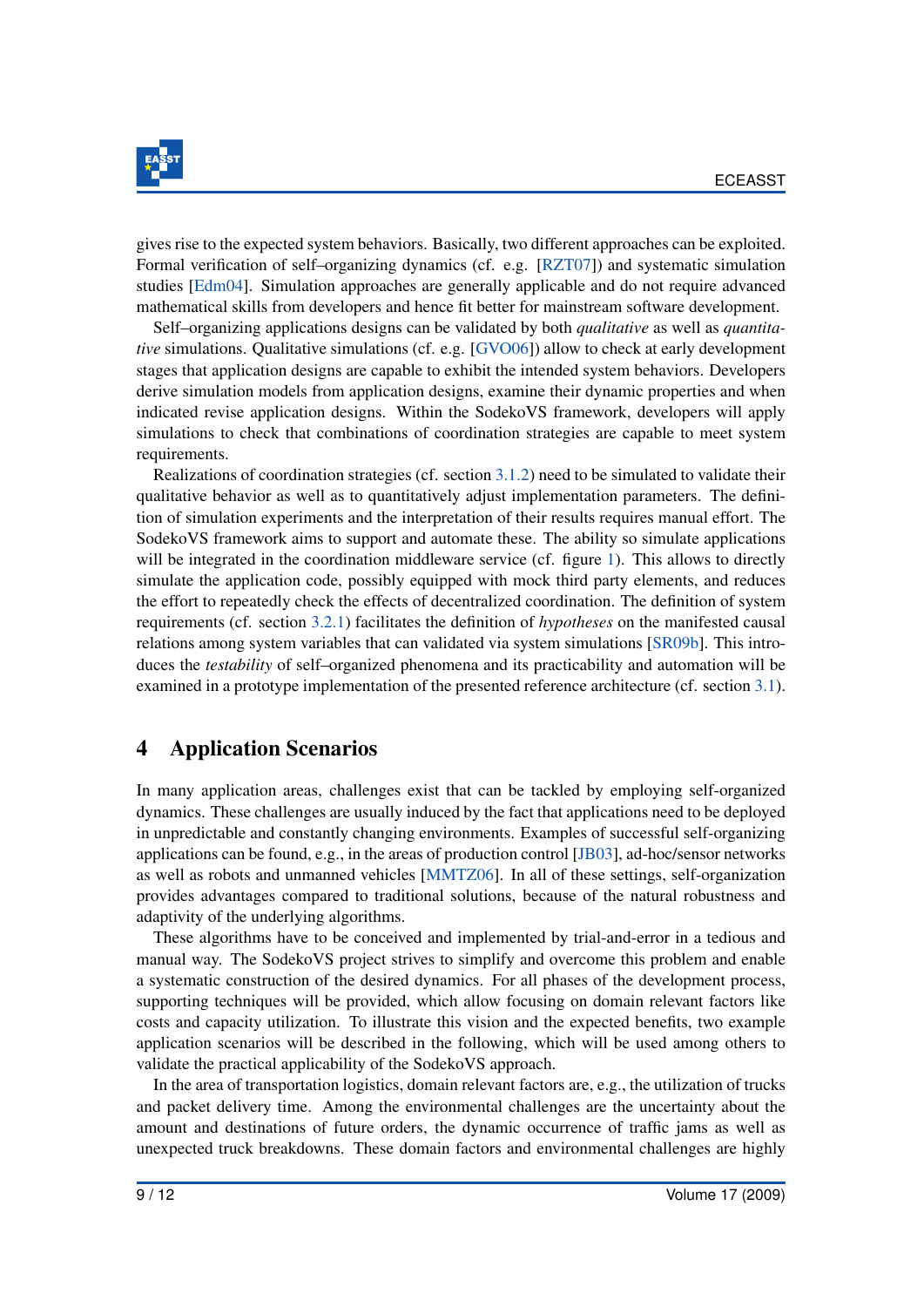

gives rise to the expected system behaviors. Basically, two different approaches can be exploited. Formal verification of self–organizing dynamics (cf. e.g. [\[RZT07\]](#page-12-10)) and systematic simulation studies [\[Edm04\]](#page-11-10). Simulation approaches are generally applicable and do not require advanced mathematical skills from developers and hence fit better for mainstream software development.

Self–organizing applications designs can be validated by both *qualitative* as well as *quantitative* simulations. Qualitative simulations (cf. e.g. [\[GVO06\]](#page-11-12)) allow to check at early development stages that application designs are capable to exhibit the intended system behaviors. Developers derive simulation models from application designs, examine their dynamic properties and when indicated revise application designs. Within the SodekoVS framework, developers will apply simulations to check that combinations of coordination strategies are capable to meet system requirements.

Realizations of coordination strategies (cf. section [3.1.2\)](#page-6-0) need to be simulated to validate their qualitative behavior as well as to quantitatively adjust implementation parameters. The definition of simulation experiments and the interpretation of their results requires manual effort. The SodekoVS framework aims to support and automate these. The ability so simulate applications will be integrated in the coordination middleware service (cf. figure [1\)](#page-6-1). This allows to directly simulate the application code, possibly equipped with mock third party elements, and reduces the effort to repeatedly check the effects of decentralized coordination. The definition of system requirements (cf. section [3.2.1\)](#page-7-1) facilitates the definition of *hypotheses* on the manifested causal relations among system variables that can validated via system simulations [\[SR09b\]](#page-12-13). This introduces the *testability* of self–organized phenomena and its practicability and automation will be examined in a prototype implementation of the presented reference architecture (cf. section [3.1\)](#page-5-0).

### <span id="page-9-0"></span>4 Application Scenarios

In many application areas, challenges exist that can be tackled by employing self-organized dynamics. These challenges are usually induced by the fact that applications need to be deployed in unpredictable and constantly changing environments. Examples of successful self-organizing applications can be found, e.g., in the areas of production control [\[JB03\]](#page-11-13), ad-hoc/sensor networks as well as robots and unmanned vehicles [\[MMTZ06\]](#page-11-8). In all of these settings, self-organization provides advantages compared to traditional solutions, because of the natural robustness and adaptivity of the underlying algorithms.

These algorithms have to be conceived and implemented by trial-and-error in a tedious and manual way. The SodekoVS project strives to simplify and overcome this problem and enable a systematic construction of the desired dynamics. For all phases of the development process, supporting techniques will be provided, which allow focusing on domain relevant factors like costs and capacity utilization. To illustrate this vision and the expected benefits, two example application scenarios will be described in the following, which will be used among others to validate the practical applicability of the SodekoVS approach.

In the area of transportation logistics, domain relevant factors are, e.g., the utilization of trucks and packet delivery time. Among the environmental challenges are the uncertainty about the amount and destinations of future orders, the dynamic occurrence of traffic jams as well as unexpected truck breakdowns. These domain factors and environmental challenges are highly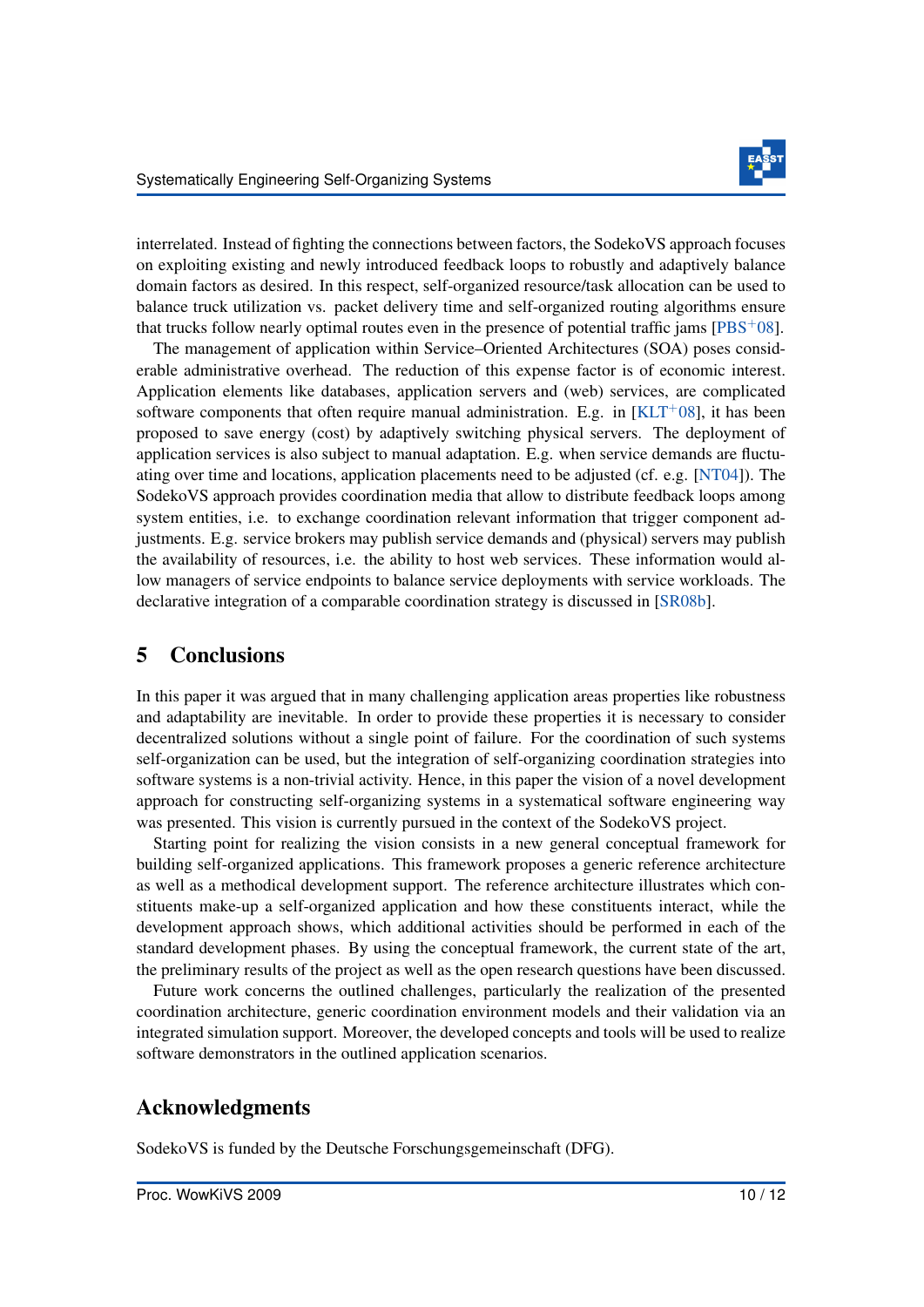

interrelated. Instead of fighting the connections between factors, the SodekoVS approach focuses on exploiting existing and newly introduced feedback loops to robustly and adaptively balance domain factors as desired. In this respect, self-organized resource/task allocation can be used to balance truck utilization vs. packet delivery time and self-organized routing algorithms ensure that trucks follow nearly optimal routes even in the presence of potential traffic jams  $[PBS<sup>+</sup>08]$  $[PBS<sup>+</sup>08]$ .

The management of application within Service–Oriented Architectures (SOA) poses considerable administrative overhead. The reduction of this expense factor is of economic interest. Application elements like databases, application servers and (web) services, are complicated software components that often require manual administration. E.g. in  $[KLT^+08]$  $[KLT^+08]$ , it has been proposed to save energy (cost) by adaptively switching physical servers. The deployment of application services is also subject to manual adaptation. E.g. when service demands are fluctuating over time and locations, application placements need to be adjusted (cf. e.g. [\[NT04\]](#page-11-7)). The SodekoVS approach provides coordination media that allow to distribute feedback loops among system entities, i.e. to exchange coordination relevant information that trigger component adjustments. E.g. service brokers may publish service demands and (physical) servers may publish the availability of resources, i.e. the ability to host web services. These information would allow managers of service endpoints to balance service deployments with service workloads. The declarative integration of a comparable coordination strategy is discussed in [\[SR08b\]](#page-12-5).

### 5 Conclusions

In this paper it was argued that in many challenging application areas properties like robustness and adaptability are inevitable. In order to provide these properties it is necessary to consider decentralized solutions without a single point of failure. For the coordination of such systems self-organization can be used, but the integration of self-organizing coordination strategies into software systems is a non-trivial activity. Hence, in this paper the vision of a novel development approach for constructing self-organizing systems in a systematical software engineering way was presented. This vision is currently pursued in the context of the SodekoVS project.

Starting point for realizing the vision consists in a new general conceptual framework for building self-organized applications. This framework proposes a generic reference architecture as well as a methodical development support. The reference architecture illustrates which constituents make-up a self-organized application and how these constituents interact, while the development approach shows, which additional activities should be performed in each of the standard development phases. By using the conceptual framework, the current state of the art, the preliminary results of the project as well as the open research questions have been discussed.

Future work concerns the outlined challenges, particularly the realization of the presented coordination architecture, generic coordination environment models and their validation via an integrated simulation support. Moreover, the developed concepts and tools will be used to realize software demonstrators in the outlined application scenarios.

#### Acknowledgments

SodekoVS is funded by the Deutsche Forschungsgemeinschaft (DFG).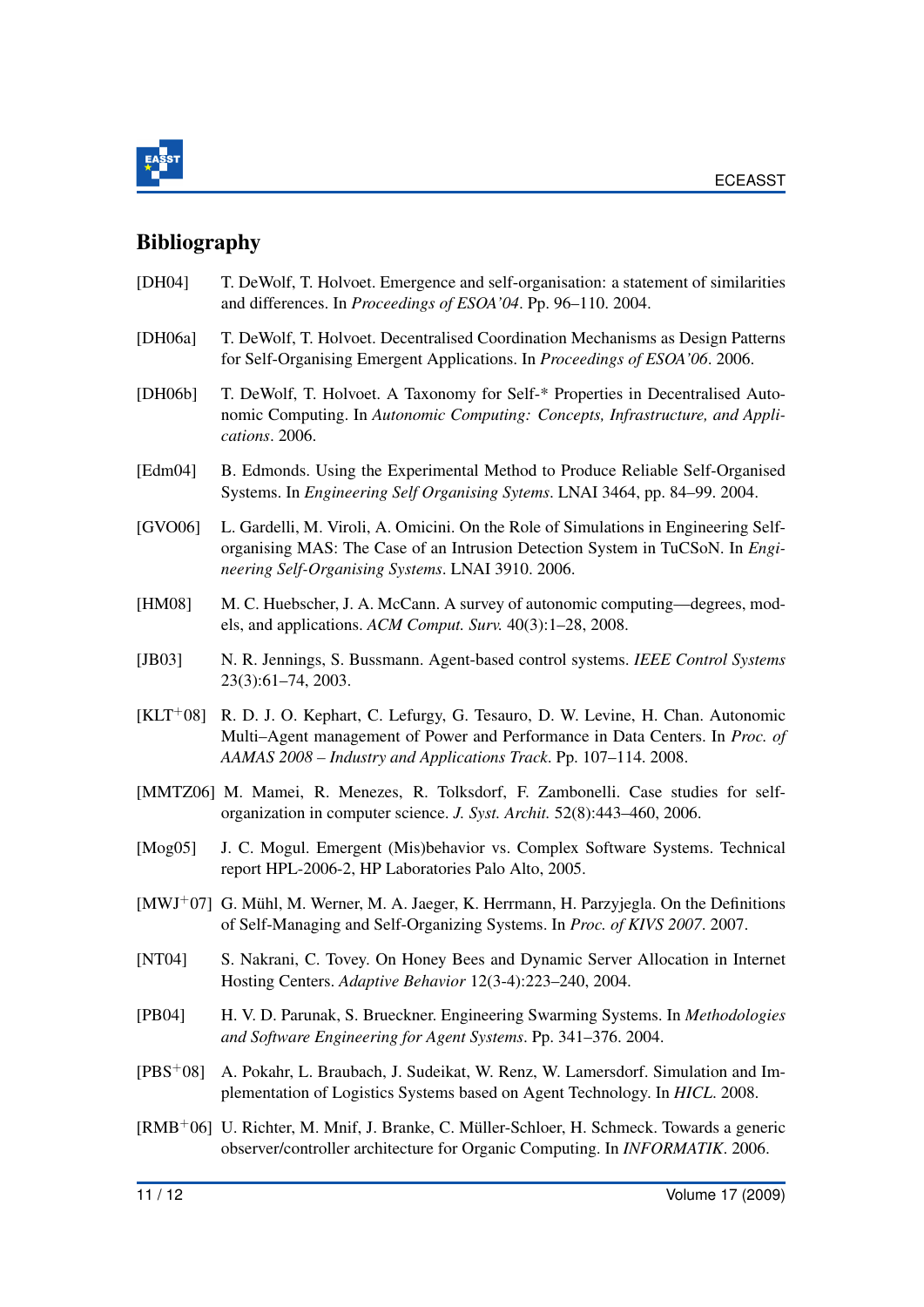

## Bibliography

- <span id="page-11-4"></span>[DH04] T. DeWolf, T. Holvoet. Emergence and self-organisation: a statement of similarities and differences. In *Proceedings of ESOA'04*. Pp. 96–110. 2004.
- <span id="page-11-9"></span>[DH06a] T. DeWolf, T. Holvoet. Decentralised Coordination Mechanisms as Design Patterns for Self-Organising Emergent Applications. In *Proceedings of ESOA'06*. 2006.
- <span id="page-11-11"></span>[DH06b] T. DeWolf, T. Holvoet. A Taxonomy for Self-\* Properties in Decentralised Autonomic Computing. In *Autonomic Computing: Concepts, Infrastructure, and Applications*. 2006.
- <span id="page-11-10"></span>[Edm04] B. Edmonds. Using the Experimental Method to Produce Reliable Self-Organised Systems. In *Engineering Self Organising Sytems*. LNAI 3464, pp. 84–99. 2004.
- <span id="page-11-12"></span>[GVO06] L. Gardelli, M. Viroli, A. Omicini. On the Role of Simulations in Engineering Selforganising MAS: The Case of an Intrusion Detection System in TuCSoN. In *Engineering Self-Organising Systems*. LNAI 3910. 2006.
- <span id="page-11-2"></span>[HM08] M. C. Huebscher, J. A. McCann. A survey of autonomic computing—degrees, models, and applications. *ACM Comput. Surv.* 40(3):1–28, 2008.
- <span id="page-11-13"></span>[JB03] N. R. Jennings, S. Bussmann. Agent-based control systems. *IEEE Control Systems* 23(3):61–74, 2003.
- <span id="page-11-0"></span>[KLT<sup>+</sup>08] R. D. J. O. Kephart, C. Lefurgy, G. Tesauro, D. W. Levine, H. Chan. Autonomic Multi–Agent management of Power and Performance in Data Centers. In *Proc. of AAMAS 2008 – Industry and Applications Track*. Pp. 107–114. 2008.
- <span id="page-11-8"></span>[MMTZ06] M. Mamei, R. Menezes, R. Tolksdorf, F. Zambonelli. Case studies for selforganization in computer science. *J. Syst. Archit.* 52(8):443–460, 2006.
- <span id="page-11-5"></span>[Mog05] J. C. Mogul. Emergent (Mis)behavior vs. Complex Software Systems. Technical report HPL-2006-2, HP Laboratories Palo Alto, 2005.
- <span id="page-11-1"></span> $[MWJ<sup>+</sup>07]$  G. Mühl, M. Werner, M. A. Jaeger, K. Herrmann, H. Parzyjegla. On the Definitions of Self-Managing and Self-Organizing Systems. In *Proc. of KIVS 2007*. 2007.
- <span id="page-11-7"></span>[NT04] S. Nakrani, C. Tovey. On Honey Bees and Dynamic Server Allocation in Internet Hosting Centers. *Adaptive Behavior* 12(3-4):223–240, 2004.
- <span id="page-11-6"></span>[PB04] H. V. D. Parunak, S. Brueckner. Engineering Swarming Systems. In *Methodologies and Software Engineering for Agent Systems*. Pp. 341–376. 2004.
- <span id="page-11-14"></span>[PBS+08] A. Pokahr, L. Braubach, J. Sudeikat, W. Renz, W. Lamersdorf. Simulation and Implementation of Logistics Systems based on Agent Technology. In *HICL*. 2008.
- <span id="page-11-3"></span> $[RMB<sup>+</sup>06]$  U. Richter, M. Mnif, J. Branke, C. Müller-Schloer, H. Schmeck. Towards a generic observer/controller architecture for Organic Computing. In *INFORMATIK*. 2006.